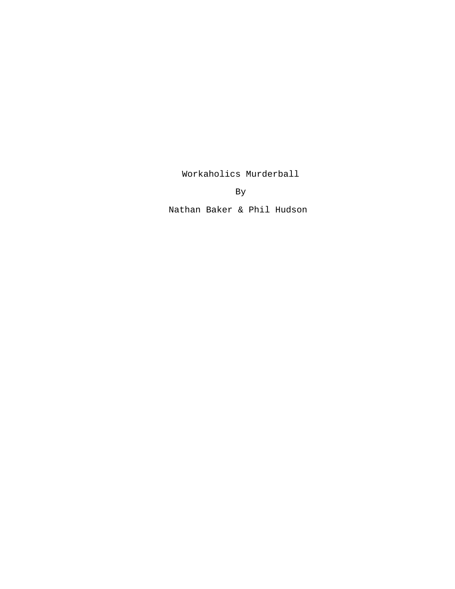Workaholics Murderball

By **By** 

Nathan Baker & Phil Hudson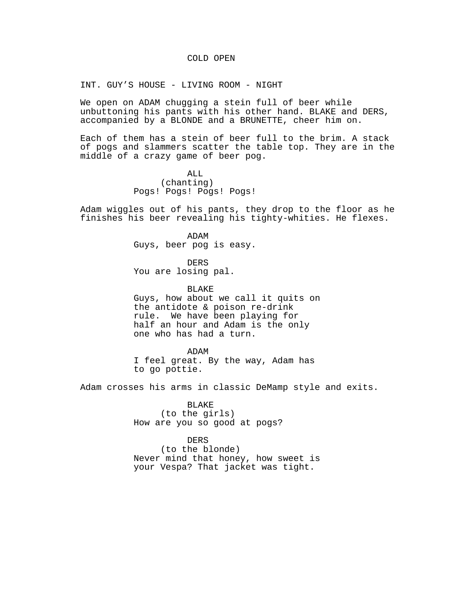### COLD OPEN

INT. GUY'S HOUSE - LIVING ROOM - NIGHT

We open on ADAM chugging a stein full of beer while unbuttoning his pants with his other hand. BLAKE and DERS, accompanied by a BLONDE and a BRUNETTE, cheer him on.

Each of them has a stein of beer full to the brim. A stack of pogs and slammers scatter the table top. They are in the middle of a crazy game of beer pog.

> ALL (chanting) Pogs! Pogs! Pogs! Pogs!

Adam wiggles out of his pants, they drop to the floor as he finishes his beer revealing his tighty-whities. He flexes.

> ADAM Guys, beer pog is easy.

DERS You are losing pal.

BLAKE Guys, how about we call it quits on the antidote & poison re-drink rule. We have been playing for half an hour and Adam is the only one who has had a turn.

ADAM I feel great. By the way, Adam has to go pottie.

Adam crosses his arms in classic DeMamp style and exits.

BLAKE (to the girls) How are you so good at pogs?

DERS (to the blonde) Never mind that honey, how sweet is your Vespa? That jacket was tight.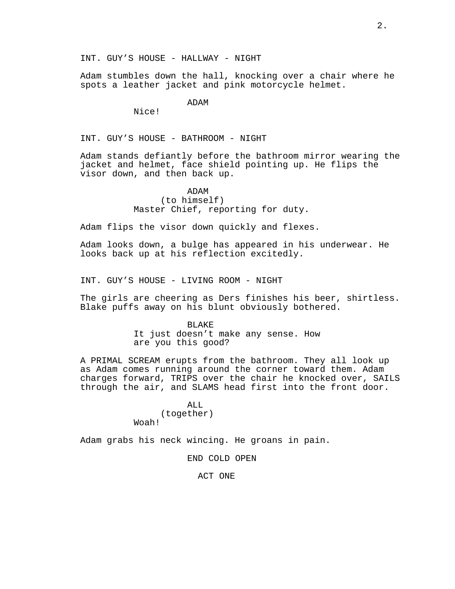Adam stumbles down the hall, knocking over a chair where he spots a leather jacket and pink motorcycle helmet.

ADAM

Nice!

INT. GUY'S HOUSE - BATHROOM - NIGHT

Adam stands defiantly before the bathroom mirror wearing the jacket and helmet, face shield pointing up. He flips the visor down, and then back up.

> ADAM (to himself) Master Chief, reporting for duty.

Adam flips the visor down quickly and flexes.

Adam looks down, a bulge has appeared in his underwear. He looks back up at his reflection excitedly.

INT. GUY'S HOUSE - LIVING ROOM - NIGHT

The girls are cheering as Ders finishes his beer, shirtless. Blake puffs away on his blunt obviously bothered.

> BLAKE It just doesn't make any sense. How are you this good?

A PRIMAL SCREAM erupts from the bathroom. They all look up as Adam comes running around the corner toward them. Adam charges forward, TRIPS over the chair he knocked over, SAILS through the air, and SLAMS head first into the front door.

> ALL (together) Woah!

Adam grabs his neck wincing. He groans in pain.

END COLD OPEN

ACT ONE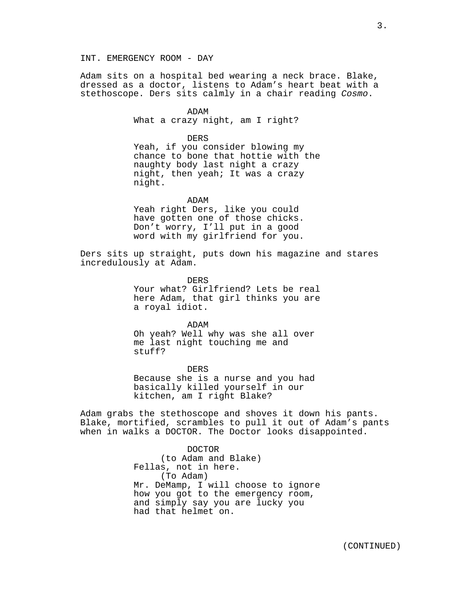Adam sits on a hospital bed wearing a neck brace. Blake, dressed as a doctor, listens to Adam's heart beat with a stethoscope. Ders sits calmly in a chair reading Cosmo.

> ADAM What a crazy night, am I right?

> > DERS

Yeah, if you consider blowing my chance to bone that hottie with the naughty body last night a crazy night, then yeah; It was a crazy night.

ADAM

Yeah right Ders, like you could have gotten one of those chicks. Don't worry, I'll put in a good word with my girlfriend for you.

Ders sits up straight, puts down his magazine and stares incredulously at Adam.

> DERS Your what? Girlfriend? Lets be real here Adam, that girl thinks you are a royal idiot.

ADAM Oh yeah? Well why was she all over me last night touching me and stuff?

DERS Because she is a nurse and you had basically killed yourself in our kitchen, am I right Blake?

Adam grabs the stethoscope and shoves it down his pants. Blake, mortified, scrambles to pull it out of Adam's pants when in walks a DOCTOR. The Doctor looks disappointed.

> DOCTOR (to Adam and Blake) Fellas, not in here. (To Adam) Mr. DeMamp, I will choose to ignore how you got to the emergency room, and simply say you are lucky you had that helmet on.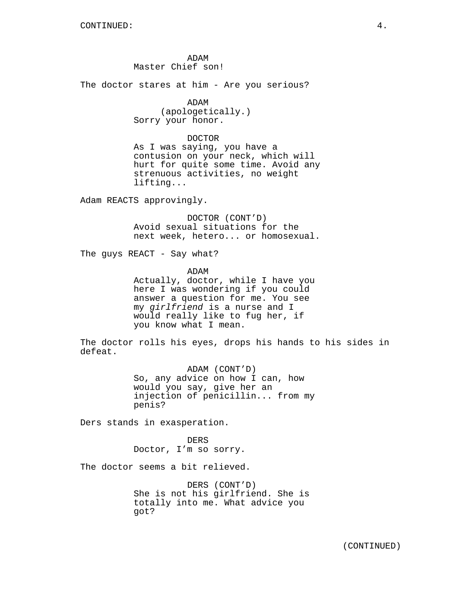ADAM Master Chief son!

The doctor stares at him - Are you serious?

# ADAM

(apologetically.) Sorry your honor.

### DOCTOR

As I was saying, you have a contusion on your neck, which will hurt for quite some time. Avoid any strenuous activities, no weight lifting...

Adam REACTS approvingly.

DOCTOR (CONT'D) Avoid sexual situations for the next week, hetero... or homosexual.

The guys REACT - Say what?

ADAM

Actually, doctor, while I have you here I was wondering if you could answer a question for me. You see my girlfriend is a nurse and I would really like to fug her, if you know what I mean.

The doctor rolls his eyes, drops his hands to his sides in defeat.

> ADAM (CONT'D) So, any advice on how I can, how would you say, give her an injection of penicillin... from my penis?

Ders stands in exasperation.

DERS Doctor, I'm so sorry.

The doctor seems a bit relieved.

DERS (CONT'D) She is not his girlfriend. She is totally into me. What advice you got?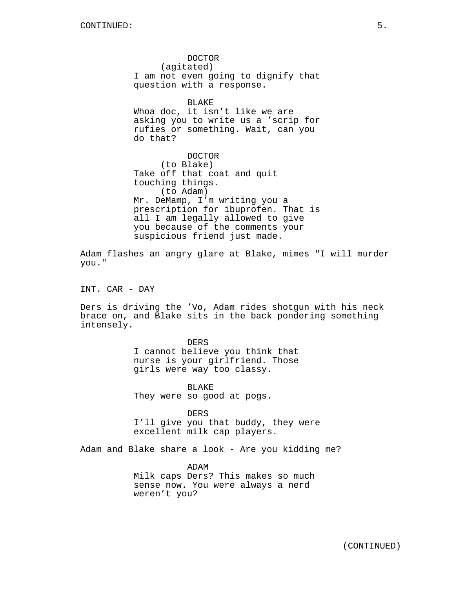DOCTOR (agitated) I am not even going to dignify that question with a response. BLAKE Whoa doc, it isn't like we are

asking you to write us a 'scrip for rufies or something. Wait, can you do that?

DOCTOR (to Blake) Take off that coat and quit touching things. (to Adam) Mr. DeMamp, I'm writing you a prescription for ibuprofen. That is all I am legally allowed to give you because of the comments your suspicious friend just made.

Adam flashes an angry glare at Blake, mimes "I will murder you."

INT. CAR - DAY

Ders is driving the 'Vo, Adam rides shotgun with his neck brace on, and Blake sits in the back pondering something intensely.

> DERS I cannot believe you think that nurse is your girlfriend. Those girls were way too classy.

BLAKE They were so good at pogs.

DERS I'll give you that buddy, they were excellent milk cap players.

Adam and Blake share a look - Are you kidding me?

ADAM Milk caps Ders? This makes so much sense now. You were always a nerd weren't you?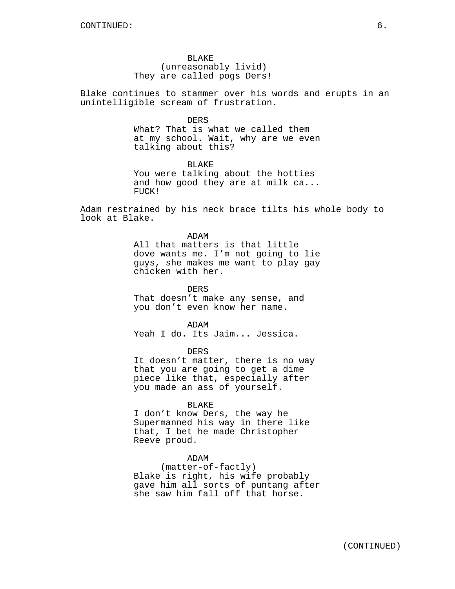## BLAKE

(unreasonably livid) They are called pogs Ders!

Blake continues to stammer over his words and erupts in an unintelligible scream of frustration.

#### DERS

What? That is what we called them at my school. Wait, why are we even talking about this?

BLAKE You were talking about the hotties and how good they are at milk ca... FUCK!

Adam restrained by his neck brace tilts his whole body to look at Blake.

# ADAM All that matters is that little dove wants me. I'm not going to lie guys, she makes me want to play gay chicken with her.

DERS

That doesn't make any sense, and you don't even know her name.

ADAM Yeah I do. Its Jaim... Jessica.

DERS

It doesn't matter, there is no way that you are going to get a dime piece like that, especially after you made an ass of yourself.

### BLAKE

I don't know Ders, the way he Supermanned his way in there like that, I bet he made Christopher Reeve proud.

# ADAM

(matter-of-factly) Blake is right, his wife probably gave him all sorts of puntang after she saw him fall off that horse.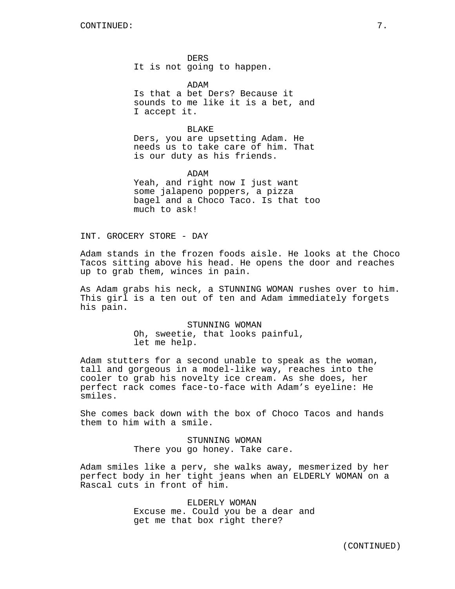DERS It is not going to happen.

ADAM Is that a bet Ders? Because it sounds to me like it is a bet, and I accept it.

BLAKE Ders, you are upsetting Adam. He needs us to take care of him. That is our duty as his friends.

ADAM Yeah, and right now I just want some jalapeno poppers, a pizza bagel and a Choco Taco. Is that too much to ask!

INT. GROCERY STORE - DAY

Adam stands in the frozen foods aisle. He looks at the Choco Tacos sitting above his head. He opens the door and reaches up to grab them, winces in pain.

As Adam grabs his neck, a STUNNING WOMAN rushes over to him. This girl is a ten out of ten and Adam immediately forgets his pain.

> STUNNING WOMAN Oh, sweetie, that looks painful, let me help.

Adam stutters for a second unable to speak as the woman, tall and gorgeous in a model-like way, reaches into the cooler to grab his novelty ice cream. As she does, her perfect rack comes face-to-face with Adam's eyeline: He smiles.

She comes back down with the box of Choco Tacos and hands them to him with a smile.

> STUNNING WOMAN There you go honey. Take care.

Adam smiles like a perv, she walks away, mesmerized by her perfect body in her tight jeans when an ELDERLY WOMAN on a Rascal cuts in front of him.

> ELDERLY WOMAN Excuse me. Could you be a dear and get me that box right there?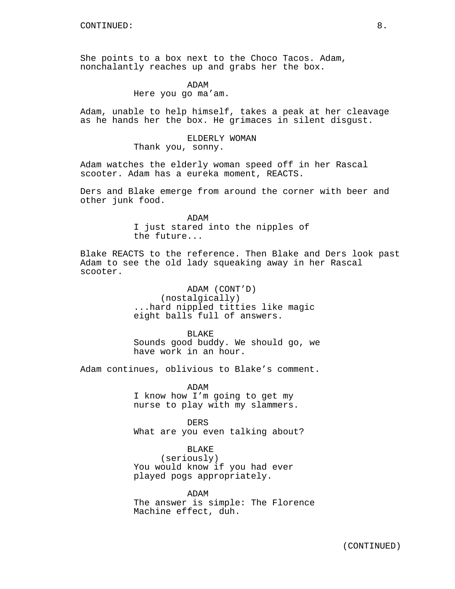She points to a box next to the Choco Tacos. Adam, nonchalantly reaches up and grabs her the box.

ADAM

Here you go ma'am.

Adam, unable to help himself, takes a peak at her cleavage as he hands her the box. He grimaces in silent disgust.

> ELDERLY WOMAN Thank you, sonny.

Adam watches the elderly woman speed off in her Rascal scooter. Adam has a eureka moment, REACTS.

Ders and Blake emerge from around the corner with beer and other junk food.

> ADAM I just stared into the nipples of the future...

Blake REACTS to the reference. Then Blake and Ders look past Adam to see the old lady squeaking away in her Rascal scooter.

> ADAM (CONT'D) (nostalgically) ...hard nippled titties like magic eight balls full of answers.

BLAKE Sounds good buddy. We should go, we have work in an hour.

Adam continues, oblivious to Blake's comment.

ADAM I know how I'm going to get my nurse to play with my slammers.

DERS What are you even talking about?

BLAKE

(seriously) You would know if you had ever played pogs appropriately.

ADAM The answer is simple: The Florence Machine effect, duh.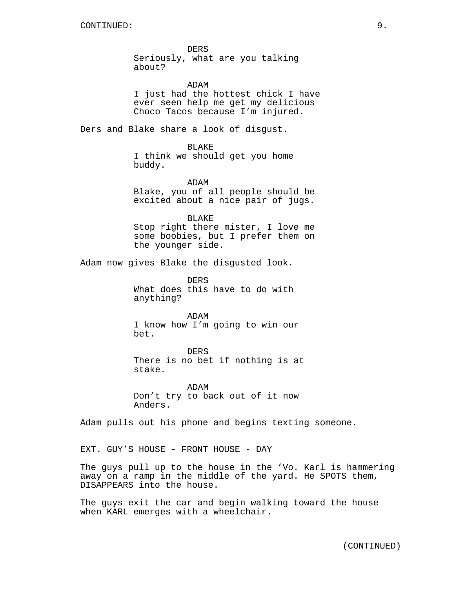DERS Seriously, what are you talking about?

### ADAM

I just had the hottest chick I have ever seen help me get my delicious Choco Tacos because I'm injured.

Ders and Blake share a look of disgust.

#### BLAKE

I think we should get you home buddy.

## ADAM

Blake, you of all people should be excited about a nice pair of jugs.

### BLAKE

Stop right there mister, I love me some boobies, but I prefer them on the younger side.

Adam now gives Blake the disgusted look.

DERS What does this have to do with anything?

ADAM I know how I'm going to win our bet.

DERS There is no bet if nothing is at stake.

ADAM Don't try to back out of it now Anders.

Adam pulls out his phone and begins texting someone.

EXT. GUY'S HOUSE - FRONT HOUSE - DAY

The guys pull up to the house in the 'Vo. Karl is hammering away on a ramp in the middle of the yard. He SPOTS them, DISAPPEARS into the house.

The guys exit the car and begin walking toward the house when KARL emerges with a wheelchair.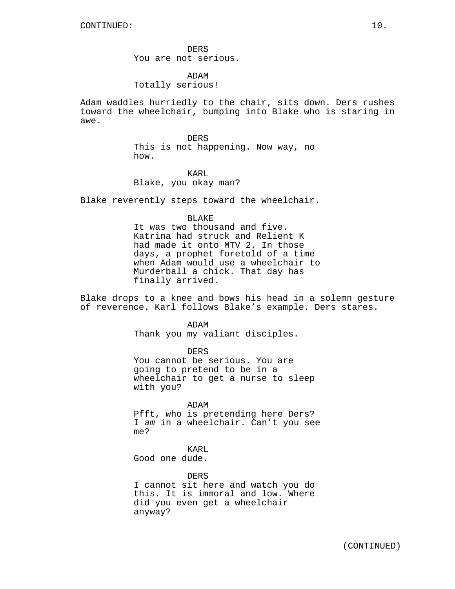DERS You are not serious.

ADAM Totally serious!

Adam waddles hurriedly to the chair, sits down. Ders rushes toward the wheelchair, bumping into Blake who is staring in awe.

> DERS This is not happening. Now way, no how.

KARL Blake, you okay man?

Blake reverently steps toward the wheelchair.

BLAKE

It was two thousand and five. Katrina had struck and Relient K had made it onto MTV 2. In those days, a prophet foretold of a time when Adam would use a wheelchair to Murderball a chick. That day has finally arrived.

Blake drops to a knee and bows his head in a solemn gesture of reverence. Karl follows Blake's example. Ders stares.

ADAM

Thank you my valiant disciples.

DERS

You cannot be serious. You are going to pretend to be in a wheelchair to get a nurse to sleep with you?

ADAM

Pfft, who is pretending here Ders? I am in a wheelchair. Can't you see me?

KARL

Good one dude.

DERS

I cannot sit here and watch you do this. It is immoral and low. Where did you even get a wheelchair anyway?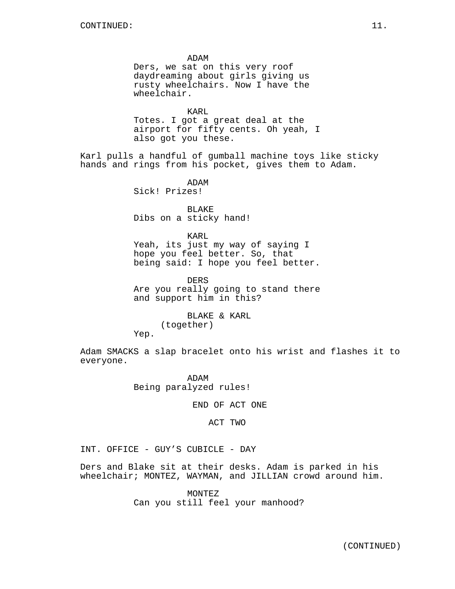ADAM Ders, we sat on this very roof daydreaming about girls giving us rusty wheelchairs. Now I have the wheelchair. KARL Totes. I got a great deal at the airport for fifty cents. Oh yeah, I also got you these. Karl pulls a handful of gumball machine toys like sticky hands and rings from his pocket, gives them to Adam. ADAM Sick! Prizes! BLAKE Dibs on a sticky hand! KARL Yeah, its just my way of saying I hope you feel better. So, that being said: I hope you feel better. DERS Are you really going to stand there and support him in this? BLAKE & KARL (together) Yep. Adam SMACKS a slap bracelet onto his wrist and flashes it to everyone. ADAM

Being paralyzed rules!

END OF ACT ONE

ACT TWO

INT. OFFICE - GUY'S CUBICLE - DAY

Ders and Blake sit at their desks. Adam is parked in his wheelchair; MONTEZ, WAYMAN, and JILLIAN crowd around him.

> MONTEZ Can you still feel your manhood?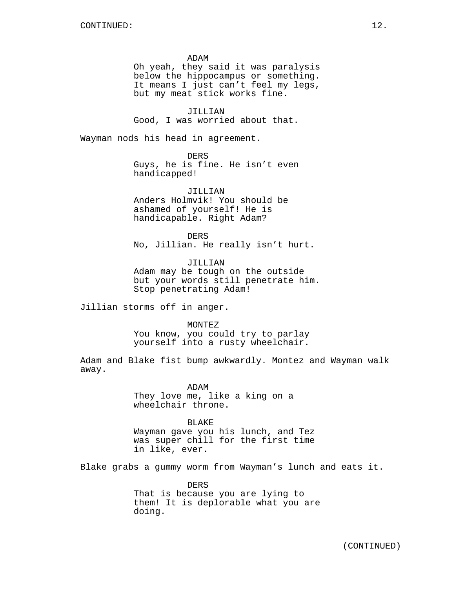ADAM

Oh yeah, they said it was paralysis below the hippocampus or something. It means I just can't feel my legs, but my meat stick works fine.

JILLIAN Good, I was worried about that.

Wayman nods his head in agreement.

DERS

Guys, he is fine. He isn't even handicapped!

JILLIAN Anders Holmvik! You should be ashamed of yourself! He is handicapable. Right Adam?

DERS No, Jillian. He really isn't hurt.

JILLIAN Adam may be tough on the outside but your words still penetrate him. Stop penetrating Adam!

Jillian storms off in anger.

MONTEZ

You know, you could try to parlay yourself into a rusty wheelchair.

Adam and Blake fist bump awkwardly. Montez and Wayman walk away.

> ADAM They love me, like a king on a wheelchair throne.

BLAKE Wayman gave you his lunch, and Tez was super chill for the first time in like, ever.

Blake grabs a gummy worm from Wayman's lunch and eats it.

DERS That is because you are lying to them! It is deplorable what you are doing.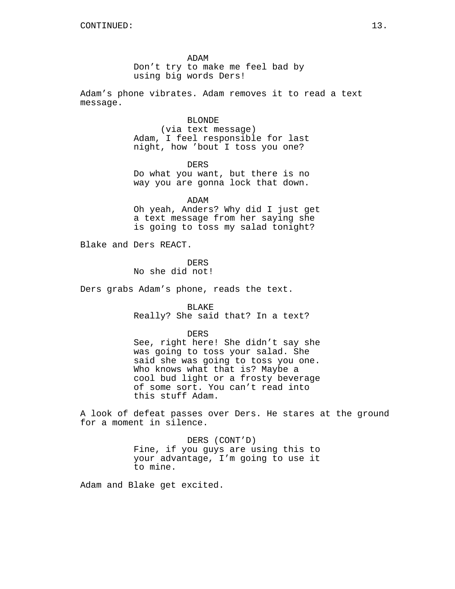ADAM Don't try to make me feel bad by using big words Ders!

Adam's phone vibrates. Adam removes it to read a text message.

> BLONDE (via text message) Adam, I feel responsible for last night, how 'bout I toss you one?

DERS Do what you want, but there is no way you are gonna lock that down.

ADAM Oh yeah, Anders? Why did I just get a text message from her saying she is going to toss my salad tonight?

Blake and Ders REACT.

DERS No she did not!

Ders grabs Adam's phone, reads the text.

BLAKE Really? She said that? In a text?

DERS

See, right here! She didn't say she was going to toss your salad. She said she was going to toss you one. Who knows what that is? Maybe a cool bud light or a frosty beverage of some sort. You can't read into this stuff Adam.

A look of defeat passes over Ders. He stares at the ground for a moment in silence.

> DERS (CONT'D) Fine, if you guys are using this to your advantage, I'm going to use it to mine.

Adam and Blake get excited.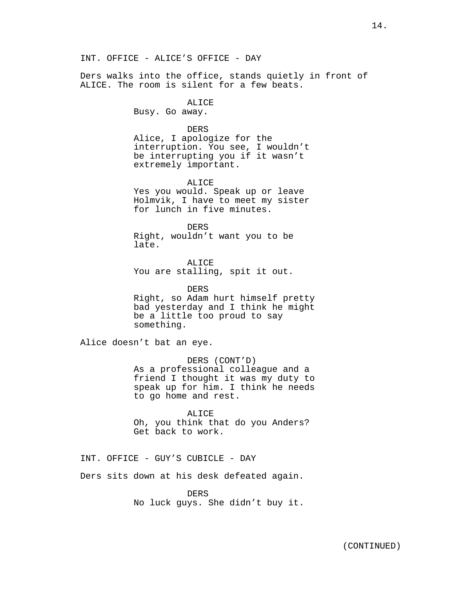INT. OFFICE - ALICE'S OFFICE - DAY

Ders walks into the office, stands quietly in front of ALICE. The room is silent for a few beats.

> **ALICE** Busy. Go away.

> > DERS

Alice, I apologize for the interruption. You see, I wouldn't be interrupting you if it wasn't extremely important.

ALICE

Yes you would. Speak up or leave Holmvik, I have to meet my sister for lunch in five minutes.

DERS Right, wouldn't want you to be late.

ALICE You are stalling, spit it out.

DERS Right, so Adam hurt himself pretty bad yesterday and I think he might be a little too proud to say something.

Alice doesn't bat an eye.

DERS (CONT'D) As a professional colleague and a friend I thought it was my duty to speak up for him. I think he needs to go home and rest.

ALICE Oh, you think that do you Anders? Get back to work.

INT. OFFICE - GUY'S CUBICLE - DAY

Ders sits down at his desk defeated again.

DERS

No luck guys. She didn't buy it.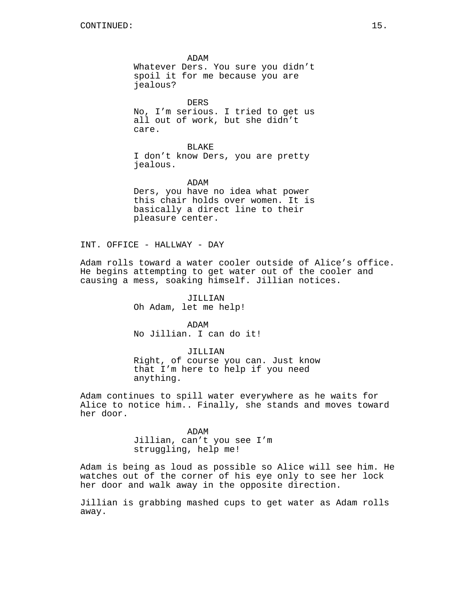ADAM Whatever Ders. You sure you didn't spoil it for me because you are jealous?

DERS No, I'm serious. I tried to get us all out of work, but she didn't care.

BLAKE I don't know Ders, you are pretty jealous.

ADAM Ders, you have no idea what power this chair holds over women. It is basically a direct line to their pleasure center.

INT. OFFICE - HALLWAY - DAY

Adam rolls toward a water cooler outside of Alice's office. He begins attempting to get water out of the cooler and causing a mess, soaking himself. Jillian notices.

> JILLIAN Oh Adam, let me help!

ADAM No Jillian. I can do it!

JILLIAN Right, of course you can. Just know that I'm here to help if you need anything.

Adam continues to spill water everywhere as he waits for Alice to notice him.. Finally, she stands and moves toward her door.

> ADAM Jillian, can't you see I'm struggling, help me!

Adam is being as loud as possible so Alice will see him. He watches out of the corner of his eye only to see her lock her door and walk away in the opposite direction.

Jillian is grabbing mashed cups to get water as Adam rolls away.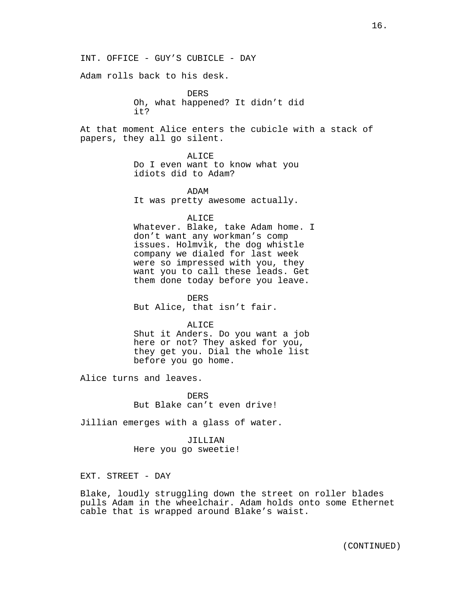INT. OFFICE - GUY'S CUBICLE - DAY

Adam rolls back to his desk.

DERS Oh, what happened? It didn't did it?

At that moment Alice enters the cubicle with a stack of papers, they all go silent.

ALICE

Do I even want to know what you idiots did to Adam?

ADAM It was pretty awesome actually.

ALICE

Whatever. Blake, take Adam home. I don't want any workman's comp issues. Holmvik, the dog whistle company we dialed for last week were so impressed with you, they want you to call these leads. Get them done today before you leave.

DERS But Alice, that isn't fair.

ALICE

Shut it Anders. Do you want a job here or not? They asked for you, they get you. Dial the whole list before you go home.

Alice turns and leaves.

DERS But Blake can't even drive!

Jillian emerges with a glass of water.

JILLIAN Here you go sweetie!

EXT. STREET - DAY

Blake, loudly struggling down the street on roller blades pulls Adam in the wheelchair. Adam holds onto some Ethernet cable that is wrapped around Blake's waist.

(CONTINUED)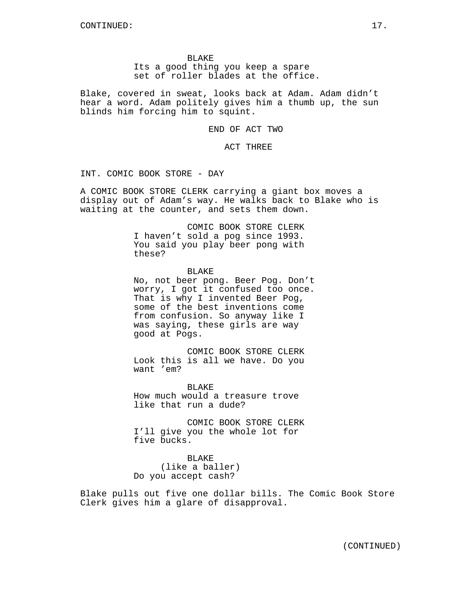BLAKE Its a good thing you keep a spare set of roller blades at the office.

Blake, covered in sweat, looks back at Adam. Adam didn't hear a word. Adam politely gives him a thumb up, the sun blinds him forcing him to squint.

END OF ACT TWO

ACT THREE

INT. COMIC BOOK STORE - DAY

A COMIC BOOK STORE CLERK carrying a giant box moves a display out of Adam's way. He walks back to Blake who is waiting at the counter, and sets them down.

> COMIC BOOK STORE CLERK I haven't sold a pog since 1993. You said you play beer pong with these?

**BLAKE** No, not beer pong. Beer Pog. Don't worry, I got it confused too once. That is why I invented Beer Pog, some of the best inventions come from confusion. So anyway like I was saying, these girls are way good at Pogs.

COMIC BOOK STORE CLERK Look this is all we have. Do you want 'em?

**BLAKE** How much would a treasure trove like that run a dude?

COMIC BOOK STORE CLERK I'll give you the whole lot for five bucks.

BLAKE (like a baller) Do you accept cash?

Blake pulls out five one dollar bills. The Comic Book Store Clerk gives him a glare of disapproval.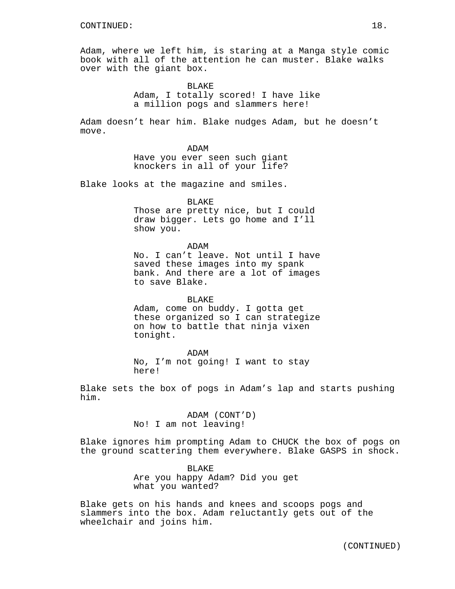Adam, where we left him, is staring at a Manga style comic book with all of the attention he can muster. Blake walks over with the giant box.

> BLAKE Adam, I totally scored! I have like a million pogs and slammers here!

Adam doesn't hear him. Blake nudges Adam, but he doesn't move.

> ADAM Have you ever seen such giant knockers in all of your life?

Blake looks at the magazine and smiles.

#### BLAKE

Those are pretty nice, but I could draw bigger. Lets go home and I'll show you.

ADAM

No. I can't leave. Not until I have saved these images into my spank bank. And there are a lot of images to save Blake.

BLAKE Adam, come on buddy. I gotta get these organized so I can strategize on how to battle that ninja vixen tonight.

ADAM No, I'm not going! I want to stay here!

Blake sets the box of pogs in Adam's lap and starts pushing him.

> ADAM (CONT'D) No! I am not leaving!

Blake ignores him prompting Adam to CHUCK the box of pogs on the ground scattering them everywhere. Blake GASPS in shock.

> BLAKE Are you happy Adam? Did you get what you wanted?

Blake gets on his hands and knees and scoops pogs and slammers into the box. Adam reluctantly gets out of the wheelchair and joins him.

(CONTINUED)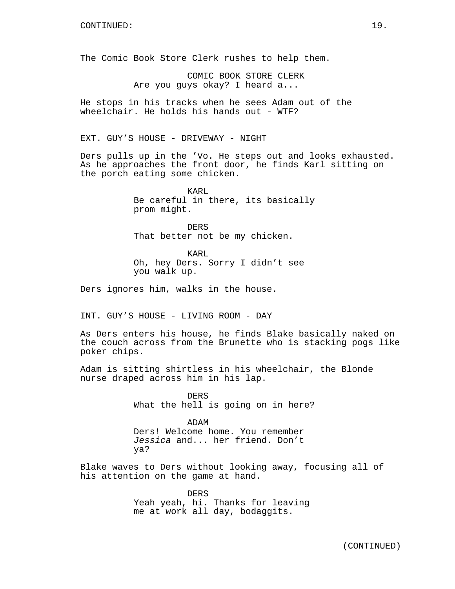The Comic Book Store Clerk rushes to help them.

COMIC BOOK STORE CLERK Are you guys okay? I heard a...

He stops in his tracks when he sees Adam out of the wheelchair. He holds his hands out - WTF?

EXT. GUY'S HOUSE - DRIVEWAY - NIGHT

Ders pulls up in the 'Vo. He steps out and looks exhausted. As he approaches the front door, he finds Karl sitting on the porch eating some chicken.

> KARL Be careful in there, its basically prom might.

DERS That better not be my chicken.

KARL Oh, hey Ders. Sorry I didn't see you walk up.

Ders ignores him, walks in the house.

INT. GUY'S HOUSE - LIVING ROOM - DAY

As Ders enters his house, he finds Blake basically naked on the couch across from the Brunette who is stacking pogs like poker chips.

Adam is sitting shirtless in his wheelchair, the Blonde nurse draped across him in his lap.

> DERS What the hell is going on in here?

ADAM Ders! Welcome home. You remember Jessica and... her friend. Don't ya?

Blake waves to Ders without looking away, focusing all of his attention on the game at hand.

> DERS Yeah yeah, hi. Thanks for leaving me at work all day, bodaggits.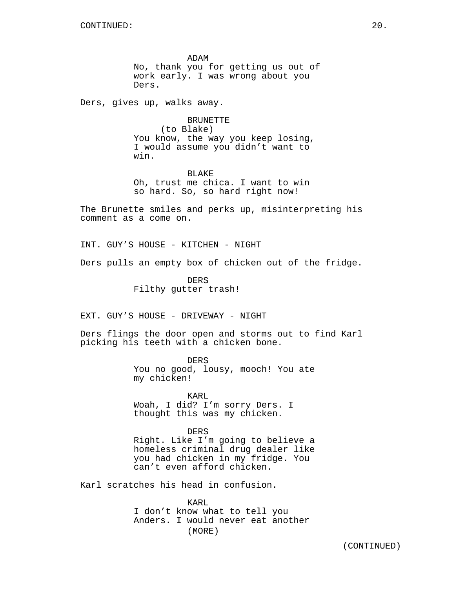ADAM No, thank you for getting us out of work early. I was wrong about you Ders.

Ders, gives up, walks away.

BRUNETTE (to Blake) You know, the way you keep losing, I would assume you didn't want to win.

BLAKE Oh, trust me chica. I want to win so hard. So, so hard right now!

The Brunette smiles and perks up, misinterpreting his comment as a come on.

INT. GUY'S HOUSE - KITCHEN - NIGHT

Ders pulls an empty box of chicken out of the fridge.

DERS Filthy gutter trash!

EXT. GUY'S HOUSE - DRIVEWAY - NIGHT

Ders flings the door open and storms out to find Karl picking his teeth with a chicken bone.

> DERS You no good, lousy, mooch! You ate my chicken!

KARL Woah, I did? I'm sorry Ders. I thought this was my chicken.

DERS Right. Like I'm going to believe a homeless criminal drug dealer like you had chicken in my fridge. You can't even afford chicken.

Karl scratches his head in confusion.

KARL I don't know what to tell you Anders. I would never eat another (MORE)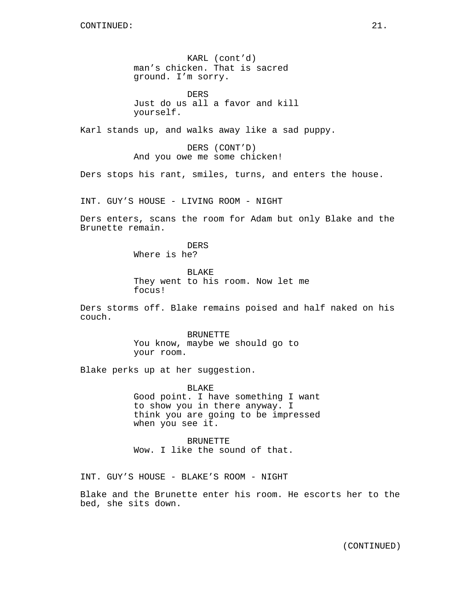KARL (cont'd) man's chicken. That is sacred ground. I'm sorry.

DERS Just do us all a favor and kill yourself.

Karl stands up, and walks away like a sad puppy.

DERS (CONT'D) And you owe me some chicken!

Ders stops his rant, smiles, turns, and enters the house.

INT. GUY'S HOUSE - LIVING ROOM - NIGHT

Ders enters, scans the room for Adam but only Blake and the Brunette remain.

> DERS Where is he?

BLAKE They went to his room. Now let me focus!

Ders storms off. Blake remains poised and half naked on his couch.

> BRUNETTE You know, maybe we should go to your room.

Blake perks up at her suggestion.

BLAKE Good point. I have something I want to show you in there anyway. I think you are going to be impressed when you see it.

BRUNETTE Wow. I like the sound of that.

INT. GUY'S HOUSE - BLAKE'S ROOM - NIGHT

Blake and the Brunette enter his room. He escorts her to the bed, she sits down.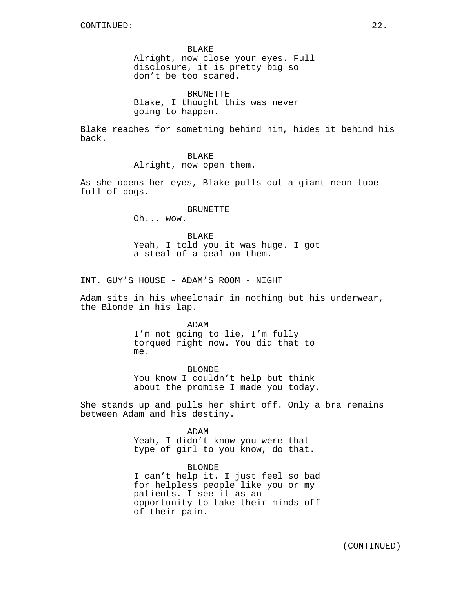BLAKE Alright, now close your eyes. Full disclosure, it is pretty big so don't be too scared.

BRUNETTE Blake, I thought this was never going to happen.

Blake reaches for something behind him, hides it behind his back.

#### BLAKE

Alright, now open them.

As she opens her eyes, Blake pulls out a giant neon tube full of pogs.

#### BRUNETTE

Oh... wow.

BLAKE Yeah, I told you it was huge. I got a steal of a deal on them.

INT. GUY'S HOUSE - ADAM'S ROOM - NIGHT

Adam sits in his wheelchair in nothing but his underwear, the Blonde in his lap.

> ADAM I'm not going to lie, I'm fully torqued right now. You did that to me.

BLONDE You know I couldn't help but think about the promise I made you today.

She stands up and pulls her shirt off. Only a bra remains between Adam and his destiny.

> ADAM Yeah, I didn't know you were that type of girl to you know, do that.

BLONDE I can't help it. I just feel so bad for helpless people like you or my patients. I see it as an opportunity to take their minds off of their pain.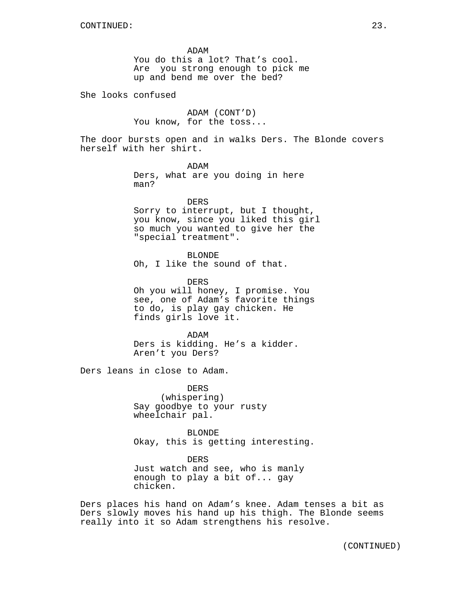ADAM You do this a lot? That's cool. Are you strong enough to pick me up and bend me over the bed?

She looks confused

ADAM (CONT'D) You know, for the toss...

The door bursts open and in walks Ders. The Blonde covers herself with her shirt.

> ADAM Ders, what are you doing in here man?

DERS Sorry to interrupt, but I thought, you know, since you liked this girl so much you wanted to give her the "special treatment".

BLONDE Oh, I like the sound of that.

DERS Oh you will honey, I promise. You see, one of Adam's favorite things to do, is play gay chicken. He finds girls love it.

ADAM Ders is kidding. He's a kidder. Aren't you Ders?

Ders leans in close to Adam.

DERS (whispering) Say goodbye to your rusty wheelchair pal.

BLONDE Okay, this is getting interesting.

DERS Just watch and see, who is manly enough to play a bit of... gay chicken.

Ders places his hand on Adam's knee. Adam tenses a bit as Ders slowly moves his hand up his thigh. The Blonde seems really into it so Adam strengthens his resolve.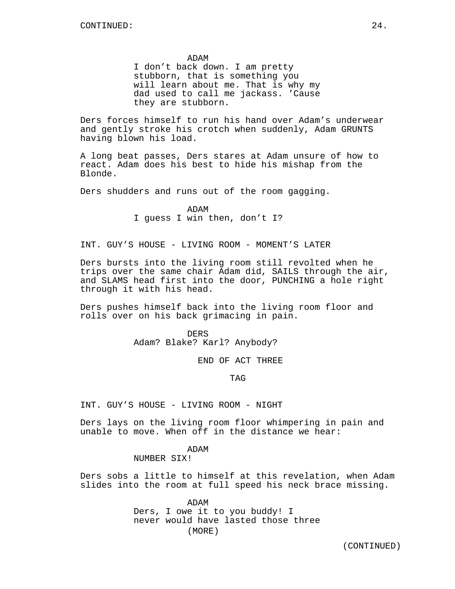#### ADAM

I don't back down. I am pretty stubborn, that is something you will learn about me. That is why my dad used to call me jackass. 'Cause they are stubborn.

Ders forces himself to run his hand over Adam's underwear and gently stroke his crotch when suddenly, Adam GRUNTS having blown his load.

A long beat passes, Ders stares at Adam unsure of how to react. Adam does his best to hide his mishap from the Blonde.

Ders shudders and runs out of the room gagging.

ADAM I guess I win then, don't I?

INT. GUY'S HOUSE - LIVING ROOM - MOMENT'S LATER

Ders bursts into the living room still revolted when he trips over the same chair Adam did, SAILS through the air, and SLAMS head first into the door, PUNCHING a hole right through it with his head.

Ders pushes himself back into the living room floor and rolls over on his back grimacing in pain.

> DERS Adam? Blake? Karl? Anybody?

> > END OF ACT THREE

TAG

INT. GUY'S HOUSE - LIVING ROOM - NIGHT

Ders lays on the living room floor whimpering in pain and unable to move. When off in the distance we hear:

# ADAM

# NUMBER SIX!

Ders sobs a little to himself at this revelation, when Adam slides into the room at full speed his neck brace missing.

> ADAM Ders, I owe it to you buddy! I never would have lasted those three (MORE)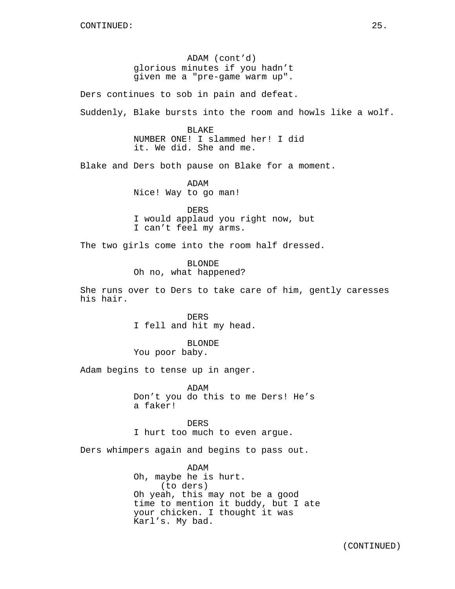ADAM (cont'd) glorious minutes if you hadn't given me a "pre-game warm up".

Ders continues to sob in pain and defeat.

Suddenly, Blake bursts into the room and howls like a wolf.

BLAKE NUMBER ONE! I slammed her! I did it. We did. She and me.

Blake and Ders both pause on Blake for a moment.

ADAM Nice! Way to go man!

DERS I would applaud you right now, but I can't feel my arms.

The two girls come into the room half dressed.

BLONDE Oh no, what happened?

She runs over to Ders to take care of him, gently caresses his hair.

> DERS I fell and hit my head.

BLONDE You poor baby.

Adam begins to tense up in anger.

ADAM Don't you do this to me Ders! He's a faker!

DERS I hurt too much to even argue.

Ders whimpers again and begins to pass out.

ADAM Oh, maybe he is hurt. (to ders) Oh yeah, this may not be a good time to mention it buddy, but I ate your chicken. I thought it was Karl's. My bad.